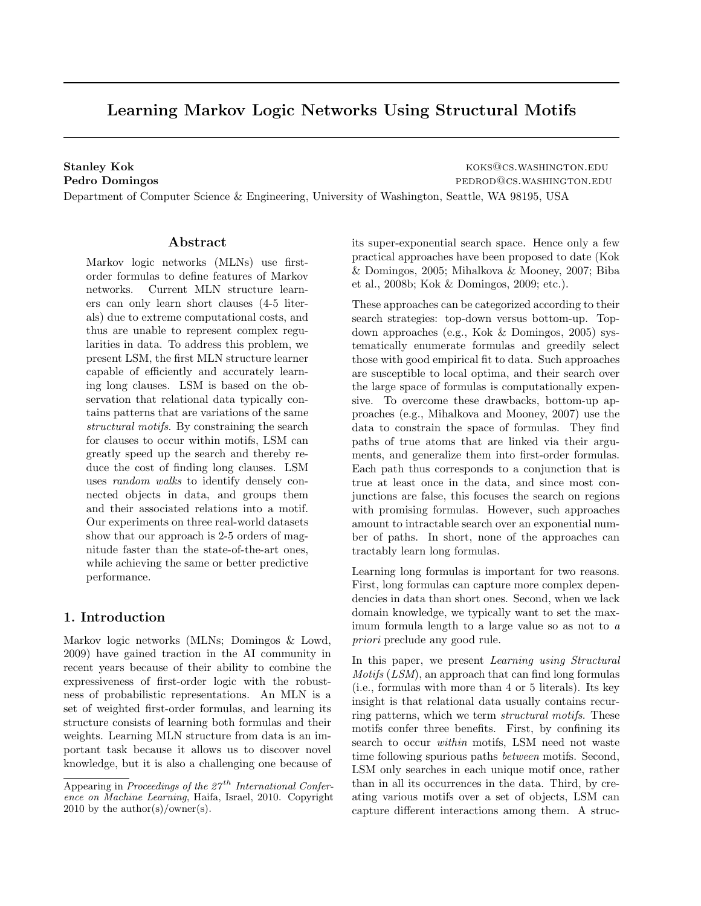# Learning Markov Logic Networks Using Structural Motifs

Stanley Kok **Koka koks and Koks and Koks and Koks and Koks and Koks and Koks and Koks and Koks and Koks and Koks and Koks and Koks and Koks and Koks and Koks and Koks and Koks and Koks and Koks and Koks and Koks and Koks a** Pedro Domingos **pedro Domingos** pedrodation.edu

Department of Computer Science & Engineering, University of Washington, Seattle, WA 98195, USA

## Abstract

Markov logic networks (MLNs) use firstorder formulas to define features of Markov networks. Current MLN structure learners can only learn short clauses (4-5 literals) due to extreme computational costs, and thus are unable to represent complex regularities in data. To address this problem, we present LSM, the first MLN structure learner capable of efficiently and accurately learning long clauses. LSM is based on the observation that relational data typically contains patterns that are variations of the same structural motifs. By constraining the search for clauses to occur within motifs, LSM can greatly speed up the search and thereby reduce the cost of finding long clauses. LSM uses random walks to identify densely connected objects in data, and groups them and their associated relations into a motif. Our experiments on three real-world datasets show that our approach is 2-5 orders of magnitude faster than the state-of-the-art ones, while achieving the same or better predictive performance.

## 1. Introduction

Markov logic networks (MLNs; Domingos & Lowd, 2009) have gained traction in the AI community in recent years because of their ability to combine the expressiveness of first-order logic with the robustness of probabilistic representations. An MLN is a set of weighted first-order formulas, and learning its structure consists of learning both formulas and their weights. Learning MLN structure from data is an important task because it allows us to discover novel knowledge, but it is also a challenging one because of its super-exponential search space. Hence only a few practical approaches have been proposed to date (Kok & Domingos, 2005; Mihalkova & Mooney, 2007; Biba et al., 2008b; Kok & Domingos, 2009; etc.).

These approaches can be categorized according to their search strategies: top-down versus bottom-up. Topdown approaches (e.g., Kok & Domingos, 2005) systematically enumerate formulas and greedily select those with good empirical fit to data. Such approaches are susceptible to local optima, and their search over the large space of formulas is computationally expensive. To overcome these drawbacks, bottom-up approaches (e.g., Mihalkova and Mooney, 2007) use the data to constrain the space of formulas. They find paths of true atoms that are linked via their arguments, and generalize them into first-order formulas. Each path thus corresponds to a conjunction that is true at least once in the data, and since most conjunctions are false, this focuses the search on regions with promising formulas. However, such approaches amount to intractable search over an exponential number of paths. In short, none of the approaches can tractably learn long formulas.

Learning long formulas is important for two reasons. First, long formulas can capture more complex dependencies in data than short ones. Second, when we lack domain knowledge, we typically want to set the maximum formula length to a large value so as not to a priori preclude any good rule.

In this paper, we present *Learning using Structural* Motifs (LSM), an approach that can find long formulas (i.e., formulas with more than 4 or 5 literals). Its key insight is that relational data usually contains recurring patterns, which we term structural motifs. These motifs confer three benefits. First, by confining its search to occur within motifs, LSM need not waste time following spurious paths between motifs. Second, LSM only searches in each unique motif once, rather than in all its occurrences in the data. Third, by creating various motifs over a set of objects, LSM can capture different interactions among them. A struc-

Appearing in Proceedings of the  $27<sup>th</sup>$  International Conference on Machine Learning, Haifa, Israel, 2010. Copyright 2010 by the author(s)/owner(s).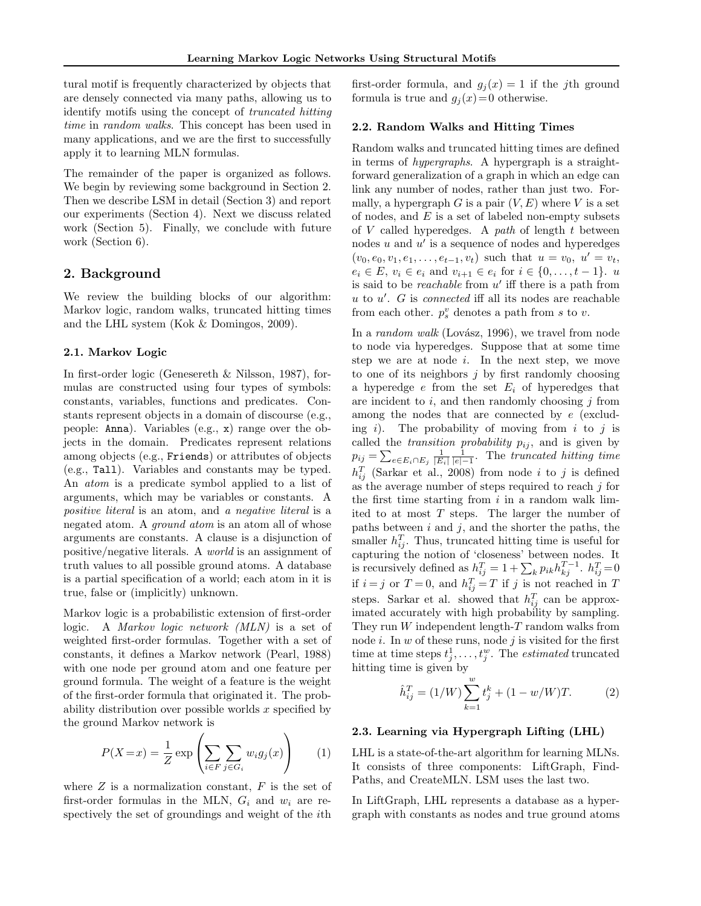tural motif is frequently characterized by objects that are densely connected via many paths, allowing us to identify motifs using the concept of truncated hitting time in random walks. This concept has been used in many applications, and we are the first to successfully apply it to learning MLN formulas.

The remainder of the paper is organized as follows. We begin by reviewing some background in Section 2. Then we describe LSM in detail (Section 3) and report our experiments (Section 4). Next we discuss related work (Section 5). Finally, we conclude with future work (Section 6).

# 2. Background

We review the building blocks of our algorithm: Markov logic, random walks, truncated hitting times and the LHL system (Kok & Domingos, 2009).

### 2.1. Markov Logic

In first-order logic (Genesereth & Nilsson, 1987), formulas are constructed using four types of symbols: constants, variables, functions and predicates. Constants represent objects in a domain of discourse (e.g., people: Anna). Variables (e.g., x) range over the objects in the domain. Predicates represent relations among objects (e.g., Friends) or attributes of objects (e.g., Tall). Variables and constants may be typed. An atom is a predicate symbol applied to a list of arguments, which may be variables or constants. A positive literal is an atom, and a negative literal is a negated atom. A *ground atom* is an atom all of whose arguments are constants. A clause is a disjunction of positive/negative literals. A world is an assignment of truth values to all possible ground atoms. A database is a partial specification of a world; each atom in it is true, false or (implicitly) unknown.

Markov logic is a probabilistic extension of first-order logic. A Markov logic network (MLN) is a set of weighted first-order formulas. Together with a set of constants, it defines a Markov network (Pearl, 1988) with one node per ground atom and one feature per ground formula. The weight of a feature is the weight of the first-order formula that originated it. The probability distribution over possible worlds  $x$  specified by the ground Markov network is

$$
P(X=x) = \frac{1}{Z} \exp\left(\sum_{i \in F} \sum_{j \in G_i} w_i g_j(x)\right) \qquad (1)
$$

where  $Z$  is a normalization constant,  $F$  is the set of first-order formulas in the MLN,  $G_i$  and  $w_i$  are respectively the set of groundings and weight of the ith

first-order formula, and  $g_i(x) = 1$  if the jth ground formula is true and  $g_i(x)=0$  otherwise.

## 2.2. Random Walks and Hitting Times

Random walks and truncated hitting times are defined in terms of hypergraphs. A hypergraph is a straightforward generalization of a graph in which an edge can link any number of nodes, rather than just two. Formally, a hypergraph G is a pair  $(V, E)$  where V is a set of nodes, and  $E$  is a set of labeled non-empty subsets of  $V$  called hyperedges. A path of length  $t$  between nodes  $u$  and  $u'$  is a sequence of nodes and hyperedges  $(v_0, e_0, v_1, e_1, \ldots, e_{t-1}, v_t)$  such that  $u = v_0, u' = v_t$ ,  $e_i \in E, v_i \in e_i \text{ and } v_{i+1} \in e_i \text{ for } i \in \{0, ..., t-1\}.$  u is said to be *reachable* from  $u'$  iff there is a path from  $u$  to  $u'$ .  $G$  is *connected* iff all its nodes are reachable from each other.  $p_s^v$  denotes a path from s to v.

In a random walk (Lovász, 1996), we travel from node to node via hyperedges. Suppose that at some time step we are at node  $i$ . In the next step, we move to one of its neighbors  $j$  by first randomly choosing a hyperedge  $e$  from the set  $E_i$  of hyperedges that are incident to  $i$ , and then randomly choosing  $j$  from among the nodes that are connected by e (excluding i). The probability of moving from i to j is called the *transition probability*  $p_{ij}$ , and is given by  $p_{ij} = \sum_{e \in E_i \cap E_j} \frac{1}{|E_i|} \frac{1}{|e|-1}$ . The truncated hitting time  $h_{ij}^T$  (Sarkar et al., 2008) from node i to j is defined as the average number of steps required to reach  $j$  for the first time starting from  $i$  in a random walk limited to at most  $T$  steps. The larger the number of paths between  $i$  and  $j$ , and the shorter the paths, the smaller  $h_{ij}^T$ . Thus, truncated hitting time is useful for capturing the notion of 'closeness' between nodes. It is recursively defined as  $h_{ij}^T = 1 + \sum_k p_{ik} h_{kj}^{T-1}$ .  $h_{ij}^T = 0$ if  $i = j$  or  $T = 0$ , and  $h_{ij}^T = T$  if j is not reached in T steps. Sarkar et al. showed that  $h_{ij}^T$  can be approximated accurately with high probability by sampling. They run  $W$  independent length-T random walks from node  $i$ . In  $w$  of these runs, node  $j$  is visited for the first time at time steps  $t_j^1, \ldots, t_j^w$ . The *estimated* truncated hitting time is given by

$$
\hat{h}_{ij}^T = (1/W) \sum_{k=1}^w t_j^k + (1 - w/W)T.
$$
 (2)

## 2.3. Learning via Hypergraph Lifting (LHL)

LHL is a state-of-the-art algorithm for learning MLNs. It consists of three components: LiftGraph, Find-Paths, and CreateMLN. LSM uses the last two.

In LiftGraph, LHL represents a database as a hypergraph with constants as nodes and true ground atoms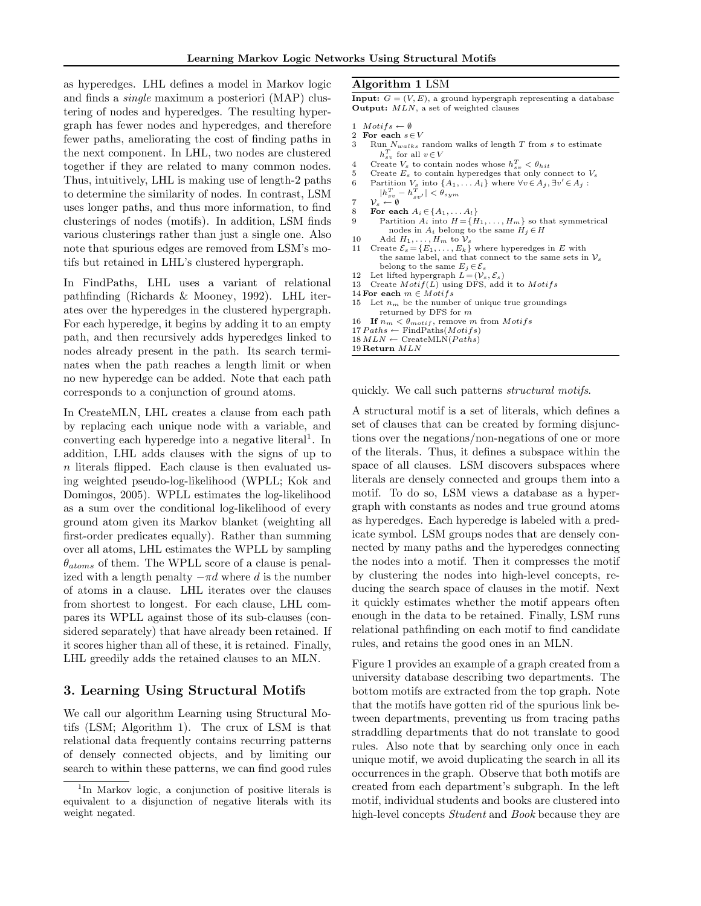as hyperedges. LHL defines a model in Markov logic and finds a single maximum a posteriori (MAP) clustering of nodes and hyperedges. The resulting hypergraph has fewer nodes and hyperedges, and therefore fewer paths, ameliorating the cost of finding paths in the next component. In LHL, two nodes are clustered together if they are related to many common nodes. Thus, intuitively, LHL is making use of length-2 paths to determine the similarity of nodes. In contrast, LSM uses longer paths, and thus more information, to find clusterings of nodes (motifs). In addition, LSM finds various clusterings rather than just a single one. Also note that spurious edges are removed from LSM's motifs but retained in LHL's clustered hypergraph.

In FindPaths, LHL uses a variant of relational pathfinding (Richards & Mooney, 1992). LHL iterates over the hyperedges in the clustered hypergraph. For each hyperedge, it begins by adding it to an empty path, and then recursively adds hyperedges linked to nodes already present in the path. Its search terminates when the path reaches a length limit or when no new hyperedge can be added. Note that each path corresponds to a conjunction of ground atoms.

In CreateMLN, LHL creates a clause from each path by replacing each unique node with a variable, and converting each hyperedge into a negative literal<sup>1</sup>. In addition, LHL adds clauses with the signs of up to n literals flipped. Each clause is then evaluated using weighted pseudo-log-likelihood (WPLL; Kok and Domingos, 2005). WPLL estimates the log-likelihood as a sum over the conditional log-likelihood of every ground atom given its Markov blanket (weighting all first-order predicates equally). Rather than summing over all atoms, LHL estimates the WPLL by sampling  $\theta_{atoms}$  of them. The WPLL score of a clause is penalized with a length penalty  $-\pi d$  where d is the number of atoms in a clause. LHL iterates over the clauses from shortest to longest. For each clause, LHL compares its WPLL against those of its sub-clauses (considered separately) that have already been retained. If it scores higher than all of these, it is retained. Finally, LHL greedily adds the retained clauses to an MLN.

## 3. Learning Using Structural Motifs

We call our algorithm Learning using Structural Motifs (LSM; Algorithm 1). The crux of LSM is that relational data frequently contains recurring patterns of densely connected objects, and by limiting our search to within these patterns, we can find good rules

#### Algorithm 1 LSM

**Input:**  $G = (V, E)$ , a ground hypergraph representing a database Output:  $MLN$ , a set of weighted clauses

- 1  $Motifs \leftarrow \emptyset$
- 2 For each  $s \in V$ <br>3 Run  $N_{walks}$
- Run  $N_{walks}$  random walks of length T from s to estimate  $h_{sv}^T$  for all  $v \in V$
- 4 Create  $V_s$  to contain nodes whose  $h_{sv}^T < \theta_{hit}$
- 5 Create  $E_s$  to contain hyperedges that only connect to  $V_s$
- 6 Partition  $V_s$  into  $\{A_1, \ldots A_l\}$  where  $\forall v \in A_j$ ,  $\exists v' \in A_j$ :  $|h_{sv}^T - h_{sv'}^T| < \theta_{sym}$
- 7  $\mathcal{V}_s \leftarrow \emptyset$
- 8 For each  $A_i \in \{A_1, \ldots A_l\}$
- 9 Partition  $A_i$  into  $H = \{H_1, \ldots, H_m\}$  so that symmetrical nodes in  $A_i$  belong to the same  $H_i \in H$
- 
- 10 Add  $H_1, \ldots, H_m$  to  $\mathcal{V}_s$ <br>11 Create  $\mathcal{E}_s = \{E_1, \ldots, E_k\}$  where hyperedges in E with the same label, and that connect to the same sets in  $\mathcal{V}_s$ belong to the same  $E_j \in \mathcal{E}_s$ <br>12 Let lifted hypergraph  $L = (\mathcal{V}_s, \mathcal{E}_s)$
- 
- 13 Create  $Motif(\overrightarrow{L})$  using DFS, add it to  $Motifs$
- 14 For each  $m \in Motifs$
- 15 Let  $n_m$  be the number of unique true groundings returned by DFS for  $m$
- 
- 16 If  $n_m < \theta_{motif}$ , remove m from *Motifs*<br>17  $PathsMostifs$
- $18 \, MLN \leftarrow \text{CreateMLN}(Paths)$
- 19 Return MLN

quickly. We call such patterns structural motifs.

A structural motif is a set of literals, which defines a set of clauses that can be created by forming disjunctions over the negations/non-negations of one or more of the literals. Thus, it defines a subspace within the space of all clauses. LSM discovers subspaces where literals are densely connected and groups them into a motif. To do so, LSM views a database as a hypergraph with constants as nodes and true ground atoms as hyperedges. Each hyperedge is labeled with a predicate symbol. LSM groups nodes that are densely connected by many paths and the hyperedges connecting the nodes into a motif. Then it compresses the motif by clustering the nodes into high-level concepts, reducing the search space of clauses in the motif. Next it quickly estimates whether the motif appears often enough in the data to be retained. Finally, LSM runs relational pathfinding on each motif to find candidate rules, and retains the good ones in an MLN.

Figure 1 provides an example of a graph created from a university database describing two departments. The bottom motifs are extracted from the top graph. Note that the motifs have gotten rid of the spurious link between departments, preventing us from tracing paths straddling departments that do not translate to good rules. Also note that by searching only once in each unique motif, we avoid duplicating the search in all its occurrences in the graph. Observe that both motifs are created from each department's subgraph. In the left motif, individual students and books are clustered into high-level concepts *Student* and *Book* because they are

<sup>&</sup>lt;sup>1</sup>In Markov logic, a conjunction of positive literals is equivalent to a disjunction of negative literals with its weight negated.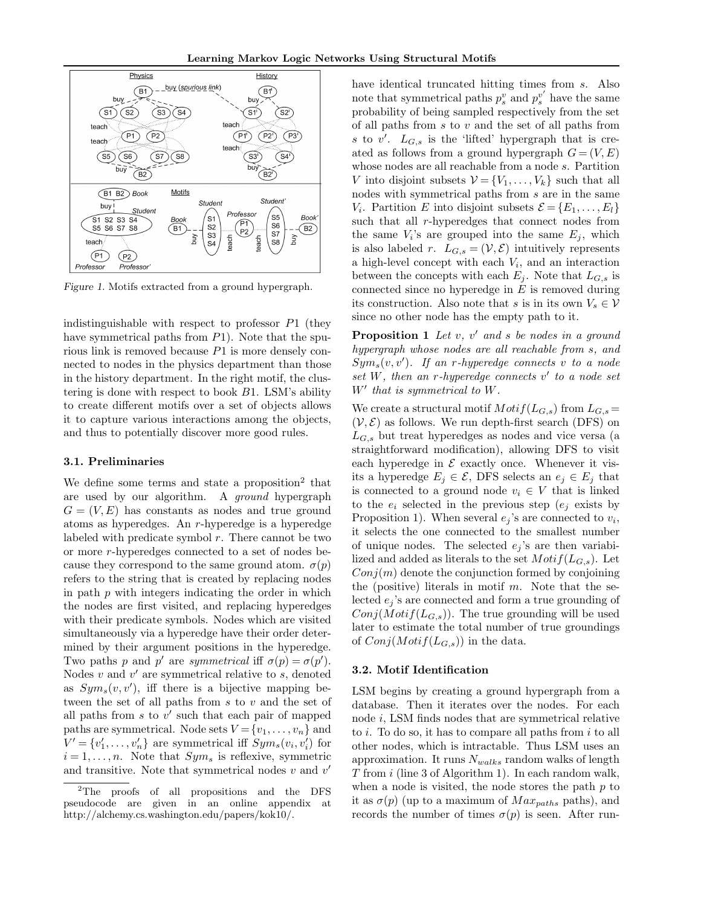

Figure 1. Motifs extracted from a ground hypergraph.

indistinguishable with respect to professor  $P1$  (they have symmetrical paths from P1). Note that the spurious link is removed because P1 is more densely connected to nodes in the physics department than those in the history department. In the right motif, the clustering is done with respect to book B1. LSM's ability to create different motifs over a set of objects allows it to capture various interactions among the objects, and thus to potentially discover more good rules.

#### 3.1. Preliminaries

We define some terms and state a proposition<sup>2</sup> that are used by our algorithm. A ground hypergraph  $G = (V, E)$  has constants as nodes and true ground atoms as hyperedges. An r-hyperedge is a hyperedge labeled with predicate symbol  $r$ . There cannot be two or more r-hyperedges connected to a set of nodes because they correspond to the same ground atom.  $\sigma(p)$ refers to the string that is created by replacing nodes in path  $p$  with integers indicating the order in which the nodes are first visited, and replacing hyperedges with their predicate symbols. Nodes which are visited simultaneously via a hyperedge have their order determined by their argument positions in the hyperedge. Two paths p and p' are symmetrical iff  $\sigma(p) = \sigma(p')$ . Nodes  $v$  and  $v'$  are symmetrical relative to  $s$ , denoted as  $Sym<sub>s</sub>(v, v')$ , iff there is a bijective mapping between the set of all paths from s to v and the set of all paths from  $s$  to  $v'$  such that each pair of mapped paths are symmetrical. Node sets  $V = \{v_1, \ldots, v_n\}$  and  $V' = \{v'_1, \ldots, v'_n\}$  are symmetrical iff  $Sym_s(v_i, v'_i)$  for  $i = 1, \ldots, n$ . Note that  $Sym_s$  is reflexive, symmetric and transitive. Note that symmetrical nodes  $v$  and  $v'$ 

have identical truncated hitting times from s. Also note that symmetrical paths  $p_s^v$  and  $p_s^{v'}$  have the same probability of being sampled respectively from the set of all paths from  $s$  to  $v$  and the set of all paths from s to  $v'$ .  $L_{G,s}$  is the 'lifted' hypergraph that is created as follows from a ground hypergraph  $G = (V, E)$ whose nodes are all reachable from a node s. Partition V into disjoint subsets  $V = \{V_1, \ldots, V_k\}$  such that all nodes with symmetrical paths from s are in the same  $V_i$ . Partition E into disjoint subsets  $\mathcal{E} = \{E_1, \ldots, E_l\}$ such that all  $r$ -hyperedges that connect nodes from the same  $V_i$ 's are grouped into the same  $E_j$ , which is also labeled r.  $L_{G,s} = (\mathcal{V}, \mathcal{E})$  intuitively represents a high-level concept with each  $V_i$ , and an interaction between the concepts with each  $E_j$ . Note that  $L_{G,s}$  is connected since no hyperedge in  $E$  is removed during its construction. Also note that s is in its own  $V_s \in \mathcal{V}$ since no other node has the empty path to it.

**Proposition 1** Let  $v$ ,  $v'$  and  $s$  be nodes in a ground hypergraph whose nodes are all reachable from s, and  $Sym_s(v, v')$ . If an r-hyperedge connects v to a node set  $W$ , then an r-hyperedge connects  $v'$  to a node set  $W'$  that is symmetrical to  $W$ .

We create a structural motif  $Motif(L_{G,s})$  from  $L_{G,s} =$  $(V, \mathcal{E})$  as follows. We run depth-first search (DFS) on  $L_{G,s}$  but treat hyperedges as nodes and vice versa (a straightforward modification), allowing DFS to visit each hyperedge in  $\mathcal E$  exactly once. Whenever it visits a hyperedge  $E_j \in \mathcal{E}$ , DFS selects an  $e_j \in E_j$  that is connected to a ground node  $v_i \in V$  that is linked to the  $e_i$  selected in the previous step  $(e_i)$  exists by Proposition 1). When several  $e_j$ 's are connected to  $v_i$ , it selects the one connected to the smallest number of unique nodes. The selected  $e_i$ 's are then variabilized and added as literals to the set  $Motif(L_{G,s})$ . Let  $Conj(m)$  denote the conjunction formed by conjoining the (positive) literals in motif  $m$ . Note that the selected  $e_i$ 's are connected and form a true grounding of  $Conj(Motif(L_{G,s}))$ . The true grounding will be used later to estimate the total number of true groundings of  $Conj(Motif(L_{G,s}))$  in the data.

### 3.2. Motif Identification

LSM begins by creating a ground hypergraph from a database. Then it iterates over the nodes. For each node i, LSM finds nodes that are symmetrical relative to  $i$ . To do so, it has to compare all paths from  $i$  to all other nodes, which is intractable. Thus LSM uses an approximation. It runs  $N_{walks}$  random walks of length T from i (line 3 of Algorithm 1). In each random walk, when a node is visited, the node stores the path  $p$  to it as  $\sigma(p)$  (up to a maximum of  $Max_{paths}$  paths), and records the number of times  $\sigma(p)$  is seen. After run-

<sup>&</sup>lt;sup>2</sup>The proofs of all propositions and the DFS pseudocode are given in an online appendix at http://alchemy.cs.washington.edu/papers/kok10/.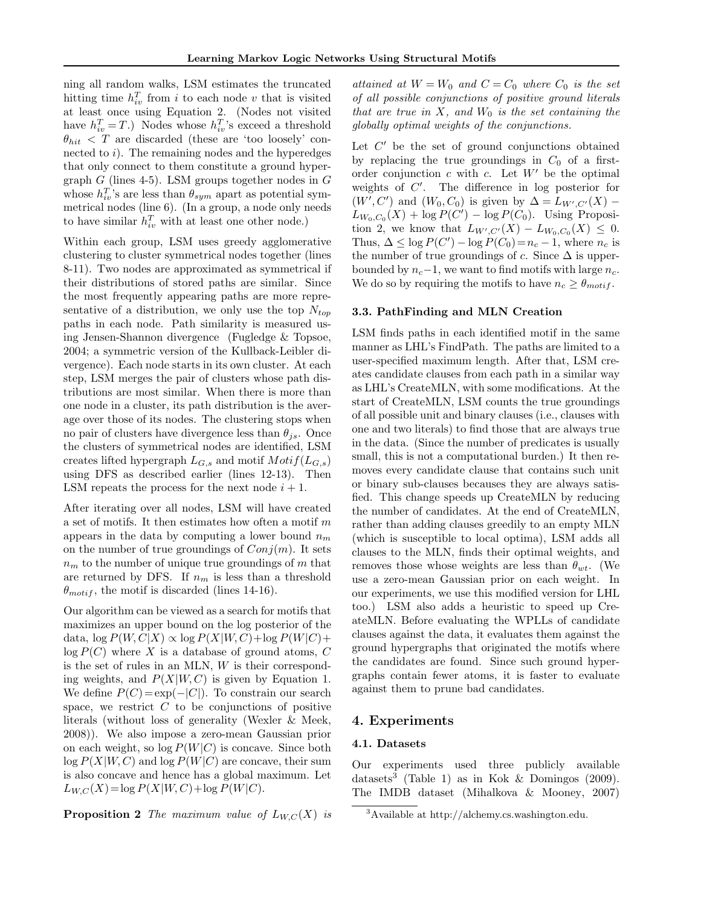ning all random walks, LSM estimates the truncated hitting time  $h_{iv}^T$  from i to each node v that is visited at least once using Equation 2. (Nodes not visited have  $h_{iv}^T = T$ .) Nodes whose  $h_{iv}^T$ 's exceed a threshold  $\theta_{hit}$  < T are discarded (these are 'too loosely' connected to  $i$ ). The remaining nodes and the hyperedges that only connect to them constitute a ground hypergraph  $G$  (lines 4-5). LSM groups together nodes in  $G$ whose  $h_{iv}^T$ 's are less than  $\theta_{sym}$  apart as potential symmetrical nodes (line 6). (In a group, a node only needs to have similar  $h_{iv}^T$  with at least one other node.)

Within each group, LSM uses greedy agglomerative clustering to cluster symmetrical nodes together (lines 8-11). Two nodes are approximated as symmetrical if their distributions of stored paths are similar. Since the most frequently appearing paths are more representative of a distribution, we only use the top  $N_{top}$ paths in each node. Path similarity is measured using Jensen-Shannon divergence (Fugledge & Topsoe, 2004; a symmetric version of the Kullback-Leibler divergence). Each node starts in its own cluster. At each step, LSM merges the pair of clusters whose path distributions are most similar. When there is more than one node in a cluster, its path distribution is the average over those of its nodes. The clustering stops when no pair of clusters have divergence less than  $\theta_{js}$ . Once the clusters of symmetrical nodes are identified, LSM creates lifted hypergraph  $L_{G,s}$  and motif  $Motif(L_{G,s})$ using DFS as described earlier (lines 12-13). Then LSM repeats the process for the next node  $i + 1$ .

After iterating over all nodes, LSM will have created a set of motifs. It then estimates how often a motif  $m$ appears in the data by computing a lower bound  $n_m$ on the number of true groundings of  $Conj(m)$ . It sets  $n<sub>m</sub>$  to the number of unique true groundings of m that are returned by DFS. If  $n_m$  is less than a threshold  $\theta_{motif}$ , the motif is discarded (lines 14-16).

Our algorithm can be viewed as a search for motifs that maximizes an upper bound on the log posterior of the data,  $\log P(W, C|X) \propto \log P(X|W, C) + \log P(W|C) +$  $log P(C)$  where X is a database of ground atoms, C is the set of rules in an MLN, W is their corresponding weights, and  $P(X|W, C)$  is given by Equation 1. We define  $P(C) = \exp(-|C|)$ . To constrain our search space, we restrict  $C$  to be conjunctions of positive literals (without loss of generality (Wexler & Meek, 2008)). We also impose a zero-mean Gaussian prior on each weight, so  $log P(W|C)$  is concave. Since both  $\log P(X|W, C)$  and  $\log P(W|C)$  are concave, their sum is also concave and hence has a global maximum. Let  $L_{W,C}(X) = \log P(X|W, C) + \log P(W|C).$ 

**Proposition 2** The maximum value of  $L_{W,C}(X)$  is

attained at  $W = W_0$  and  $C = C_0$  where  $C_0$  is the set of all possible conjunctions of positive ground literals that are true in  $X$ , and  $W_0$  is the set containing the globally optimal weights of the conjunctions.

Let  $C'$  be the set of ground conjunctions obtained by replacing the true groundings in  $C_0$  of a firstorder conjunction  $c$  with  $c$ . Let  $W'$  be the optimal weights of  $C'$ . The difference in log posterior for  $(W', C')$  and  $(W_0, C_0)$  is given by  $\Delta = L_{W', C'}(X)$  –  $L_{W_0,C_0}(X) + \log P(C') - \log P(C_0)$ . Using Proposition 2, we know that  $L_{W',C'}(X) - L_{W_0,C_0}(X) \leq 0$ . Thus,  $\Delta \leq \log P(C') - \log P(C_0) = n_c - 1$ , where  $n_c$  is the number of true groundings of c. Since  $\Delta$  is upperbounded by  $n_c-1$ , we want to find motifs with large  $n_c$ . We do so by requiring the motifs to have  $n_c \geq \theta_{motif}$ .

#### 3.3. PathFinding and MLN Creation

LSM finds paths in each identified motif in the same manner as LHL's FindPath. The paths are limited to a user-specified maximum length. After that, LSM creates candidate clauses from each path in a similar way as LHL's CreateMLN, with some modifications. At the start of CreateMLN, LSM counts the true groundings of all possible unit and binary clauses (i.e., clauses with one and two literals) to find those that are always true in the data. (Since the number of predicates is usually small, this is not a computational burden.) It then removes every candidate clause that contains such unit or binary sub-clauses becauses they are always satisfied. This change speeds up CreateMLN by reducing the number of candidates. At the end of CreateMLN, rather than adding clauses greedily to an empty MLN (which is susceptible to local optima), LSM adds all clauses to the MLN, finds their optimal weights, and removes those whose weights are less than  $\theta_{wt}$ . (We use a zero-mean Gaussian prior on each weight. In our experiments, we use this modified version for LHL too.) LSM also adds a heuristic to speed up CreateMLN. Before evaluating the WPLLs of candidate clauses against the data, it evaluates them against the ground hypergraphs that originated the motifs where the candidates are found. Since such ground hypergraphs contain fewer atoms, it is faster to evaluate against them to prune bad candidates.

#### 4. Experiments

## 4.1. Datasets

Our experiments used three publicly available datasets<sup>3</sup> (Table 1) as in Kok & Domingos (2009). The IMDB dataset (Mihalkova & Mooney, 2007)

<sup>3</sup>Available at http://alchemy.cs.washington.edu.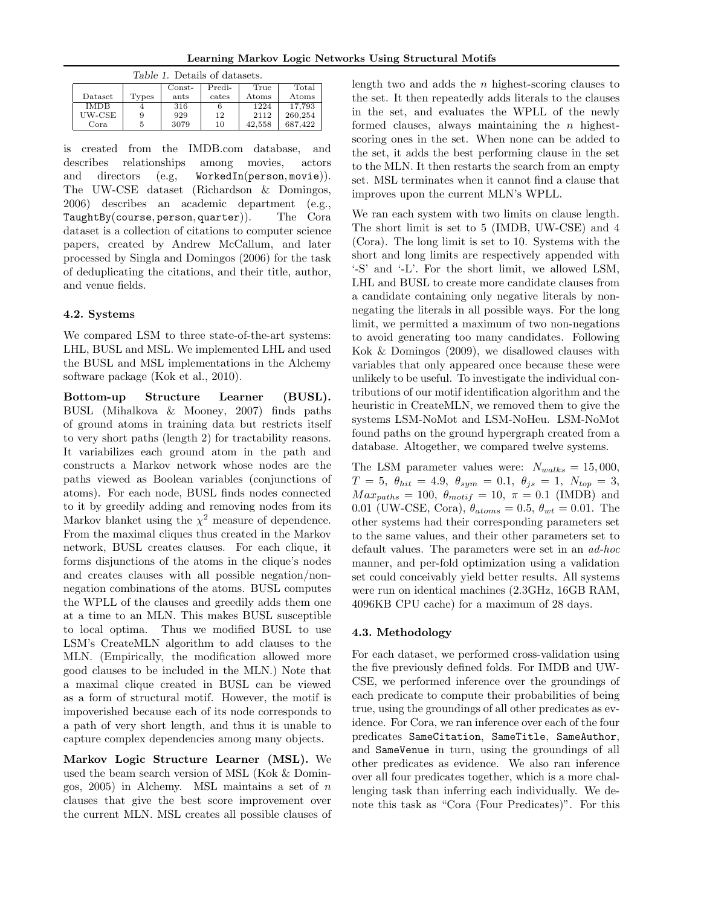| Learning Markov Logic Networks Using Structural Motifs |  |  |  |  |
|--------------------------------------------------------|--|--|--|--|
|--------------------------------------------------------|--|--|--|--|

| Table 1. Details of datasets. |       |          |        |                |         |
|-------------------------------|-------|----------|--------|----------------|---------|
|                               |       | $Const-$ | Predi- | True           | Total   |
| Dataset                       | Types | ants     | cates  | $_{\rm Atoms}$ | Atoms   |
| <b>IMDB</b>                   |       | 316      | 6      | 1224           | 17.793  |
| UW-CSE                        | 9     | 929      | 12     | 2112           | 260,254 |
| Cora                          | 5     | 3079     | 10     | 42.558         | 687.422 |

is created from the IMDB.com database, and describes relationships among movies, actors and directors (e.g, WorkedIn(person, movie)). The UW-CSE dataset (Richardson & Domingos, 2006) describes an academic department (e.g., TaughtBy(course, person, quarter)). The Cora dataset is a collection of citations to computer science papers, created by Andrew McCallum, and later processed by Singla and Domingos (2006) for the task of deduplicating the citations, and their title, author, and venue fields.

# 4.2. Systems

We compared LSM to three state-of-the-art systems: LHL, BUSL and MSL. We implemented LHL and used the BUSL and MSL implementations in the Alchemy software package (Kok et al., 2010).

Bottom-up Structure Learner (BUSL). BUSL (Mihalkova & Mooney, 2007) finds paths of ground atoms in training data but restricts itself to very short paths (length 2) for tractability reasons. It variabilizes each ground atom in the path and constructs a Markov network whose nodes are the paths viewed as Boolean variables (conjunctions of atoms). For each node, BUSL finds nodes connected to it by greedily adding and removing nodes from its Markov blanket using the  $\chi^2$  measure of dependence. From the maximal cliques thus created in the Markov network, BUSL creates clauses. For each clique, it forms disjunctions of the atoms in the clique's nodes and creates clauses with all possible negation/nonnegation combinations of the atoms. BUSL computes the WPLL of the clauses and greedily adds them one at a time to an MLN. This makes BUSL susceptible to local optima. Thus we modified BUSL to use LSM's CreateMLN algorithm to add clauses to the MLN. (Empirically, the modification allowed more good clauses to be included in the MLN.) Note that a maximal clique created in BUSL can be viewed as a form of structural motif. However, the motif is impoverished because each of its node corresponds to a path of very short length, and thus it is unable to capture complex dependencies among many objects.

Markov Logic Structure Learner (MSL). We used the beam search version of MSL (Kok & Domingos, 2005) in Alchemy. MSL maintains a set of  $n$ clauses that give the best score improvement over the current MLN. MSL creates all possible clauses of length two and adds the  $n$  highest-scoring clauses to the set. It then repeatedly adds literals to the clauses in the set, and evaluates the WPLL of the newly formed clauses, always maintaining the  $n$  highestscoring ones in the set. When none can be added to the set, it adds the best performing clause in the set to the MLN. It then restarts the search from an empty set. MSL terminates when it cannot find a clause that improves upon the current MLN's WPLL.

We ran each system with two limits on clause length. The short limit is set to 5 (IMDB, UW-CSE) and 4 (Cora). The long limit is set to 10. Systems with the short and long limits are respectively appended with '-S' and '-L'. For the short limit, we allowed LSM, LHL and BUSL to create more candidate clauses from a candidate containing only negative literals by nonnegating the literals in all possible ways. For the long limit, we permitted a maximum of two non-negations to avoid generating too many candidates. Following Kok & Domingos (2009), we disallowed clauses with variables that only appeared once because these were unlikely to be useful. To investigate the individual contributions of our motif identification algorithm and the heuristic in CreateMLN, we removed them to give the systems LSM-NoMot and LSM-NoHeu. LSM-NoMot found paths on the ground hypergraph created from a database. Altogether, we compared twelve systems.

The LSM parameter values were:  $N_{walks} = 15,000$ ,  $T = 5, \ \theta_{hit} = 4.9, \ \theta_{sym} = 0.1, \ \theta_{js} = 1, \ N_{top} = 3,$  $Max_{paths} = 100, \ \theta_{motif} = 10, \ \pi = 0.1 \text{ (IMDB)}$  and 0.01 (UW-CSE, Cora),  $\theta_{atoms} = 0.5$ ,  $\theta_{wt} = 0.01$ . The other systems had their corresponding parameters set to the same values, and their other parameters set to default values. The parameters were set in an ad-hoc manner, and per-fold optimization using a validation set could conceivably yield better results. All systems were run on identical machines (2.3GHz, 16GB RAM, 4096KB CPU cache) for a maximum of 28 days.

## 4.3. Methodology

For each dataset, we performed cross-validation using the five previously defined folds. For IMDB and UW-CSE, we performed inference over the groundings of each predicate to compute their probabilities of being true, using the groundings of all other predicates as evidence. For Cora, we ran inference over each of the four predicates SameCitation, SameTitle, SameAuthor, and SameVenue in turn, using the groundings of all other predicates as evidence. We also ran inference over all four predicates together, which is a more challenging task than inferring each individually. We denote this task as "Cora (Four Predicates)". For this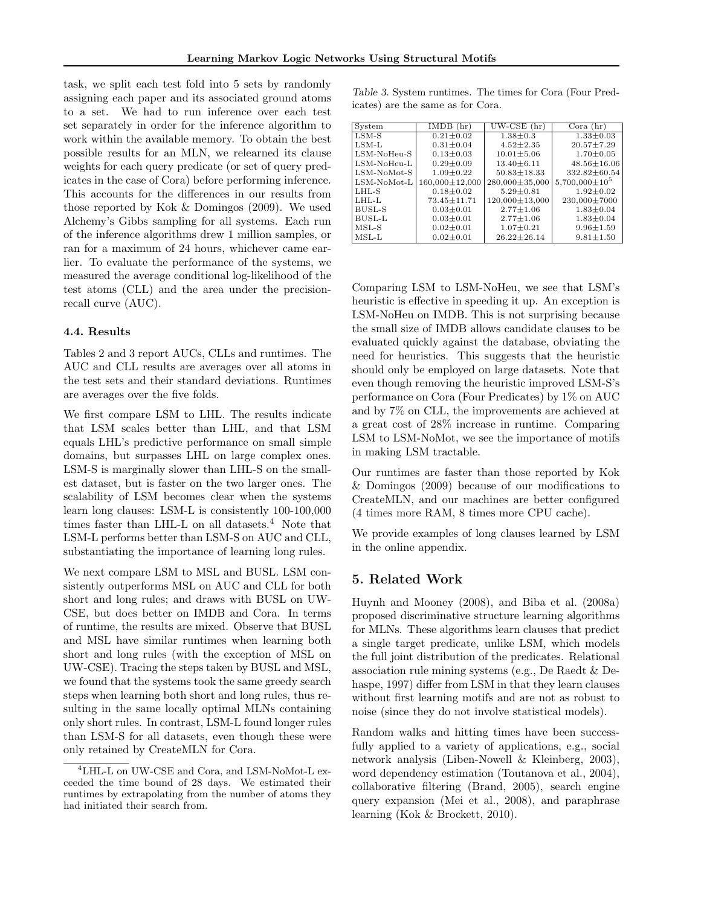task, we split each test fold into 5 sets by randomly assigning each paper and its associated ground atoms to a set. We had to run inference over each test set separately in order for the inference algorithm to work within the available memory. To obtain the best possible results for an MLN, we relearned its clause weights for each query predicate (or set of query predicates in the case of Cora) before performing inference. This accounts for the differences in our results from those reported by Kok & Domingos (2009). We used Alchemy's Gibbs sampling for all systems. Each run of the inference algorithms drew 1 million samples, or ran for a maximum of 24 hours, whichever came earlier. To evaluate the performance of the systems, we measured the average conditional log-likelihood of the test atoms (CLL) and the area under the precisionrecall curve (AUC).

#### 4.4. Results

Tables 2 and 3 report AUCs, CLLs and runtimes. The AUC and CLL results are averages over all atoms in the test sets and their standard deviations. Runtimes are averages over the five folds.

We first compare LSM to LHL. The results indicate that LSM scales better than LHL, and that LSM equals LHL's predictive performance on small simple domains, but surpasses LHL on large complex ones. LSM-S is marginally slower than LHL-S on the smallest dataset, but is faster on the two larger ones. The scalability of LSM becomes clear when the systems learn long clauses: LSM-L is consistently 100-100,000 times faster than LHL-L on all datasets.<sup>4</sup> Note that LSM-L performs better than LSM-S on AUC and CLL, substantiating the importance of learning long rules.

We next compare LSM to MSL and BUSL. LSM consistently outperforms MSL on AUC and CLL for both short and long rules; and draws with BUSL on UW-CSE, but does better on IMDB and Cora. In terms of runtime, the results are mixed. Observe that BUSL and MSL have similar runtimes when learning both short and long rules (with the exception of MSL on UW-CSE). Tracing the steps taken by BUSL and MSL, we found that the systems took the same greedy search steps when learning both short and long rules, thus resulting in the same locally optimal MLNs containing only short rules. In contrast, LSM-L found longer rules than LSM-S for all datasets, even though these were only retained by CreateMLN for Cora.

Table 3. System runtimes. The times for Cora (Four Predicates) are the same as for Cora.

| System        | IMDB<br>(hr)      | $UW-CSE$ (hr)        | Cora(hr)             |
|---------------|-------------------|----------------------|----------------------|
| $LSM-S$       | $0.21 \pm 0.02$   | $1.38 \pm 0.3$       | $1.33 \pm 0.03$      |
| $LSM-L$       | $0.31 \pm 0.04$   | $4.52 \pm 2.35$      | $20.57 + 7.29$       |
| LSM-NoHeu-S   | $0.13 \pm 0.03$   | $10.01 \pm 5.06$     | $1.70 \pm 0.05$      |
| LSM-NoHeu-L   | $0.29 \pm 0.09$   | $13.40 \pm 6.11$     | $48.56 \pm 16.06$    |
| LSM-NoMot-S   | $1.09 \pm 0.22$   | $50.83 \pm 18.33$    | 332.82±60.54         |
| LSM-NoMot-L   | 160,000±12,000    | 280,000±35,000       | $5,700,000 \pm 10^5$ |
| LHL-S         | $0.18 \pm 0.02$   | $5.29 + 0.81$        | $1.92 + 0.02$        |
| LHL-L         | $73.45 \pm 11.71$ | $120,000 \pm 13,000$ | 230,000±7000         |
| <b>BUSL-S</b> | $0.03 \pm 0.01$   | $2.77 \pm 1.06$      | $1.83 \pm 0.04$      |
| <b>BUSL-L</b> | $0.03 \pm 0.01$   | $2.77 \pm 1.06$      | $1.83 \pm 0.04$      |
| $MSL-S$       | $0.02 \pm 0.01$   | $1.07 \pm 0.21$      | $9.96 \pm 1.59$      |
| $MSL-L$       | $0.02 \pm 0.01$   | $26.22 \pm 26.14$    | $9.81 \pm 1.50$      |

Comparing LSM to LSM-NoHeu, we see that LSM's heuristic is effective in speeding it up. An exception is LSM-NoHeu on IMDB. This is not surprising because the small size of IMDB allows candidate clauses to be evaluated quickly against the database, obviating the need for heuristics. This suggests that the heuristic should only be employed on large datasets. Note that even though removing the heuristic improved LSM-S's performance on Cora (Four Predicates) by 1% on AUC and by 7% on CLL, the improvements are achieved at a great cost of 28% increase in runtime. Comparing LSM to LSM-NoMot, we see the importance of motifs in making LSM tractable.

Our runtimes are faster than those reported by Kok & Domingos (2009) because of our modifications to CreateMLN, and our machines are better configured (4 times more RAM, 8 times more CPU cache).

We provide examples of long clauses learned by LSM in the online appendix.

## 5. Related Work

Huynh and Mooney (2008), and Biba et al. (2008a) proposed discriminative structure learning algorithms for MLNs. These algorithms learn clauses that predict a single target predicate, unlike LSM, which models the full joint distribution of the predicates. Relational association rule mining systems (e.g., De Raedt & Dehaspe, 1997) differ from LSM in that they learn clauses without first learning motifs and are not as robust to noise (since they do not involve statistical models).

Random walks and hitting times have been successfully applied to a variety of applications, e.g., social network analysis (Liben-Nowell & Kleinberg, 2003), word dependency estimation (Toutanova et al., 2004), collaborative filtering (Brand, 2005), search engine query expansion (Mei et al., 2008), and paraphrase learning (Kok & Brockett, 2010).

<sup>4</sup>LHL-L on UW-CSE and Cora, and LSM-NoMot-L exceeded the time bound of 28 days. We estimated their runtimes by extrapolating from the number of atoms they had initiated their search from.